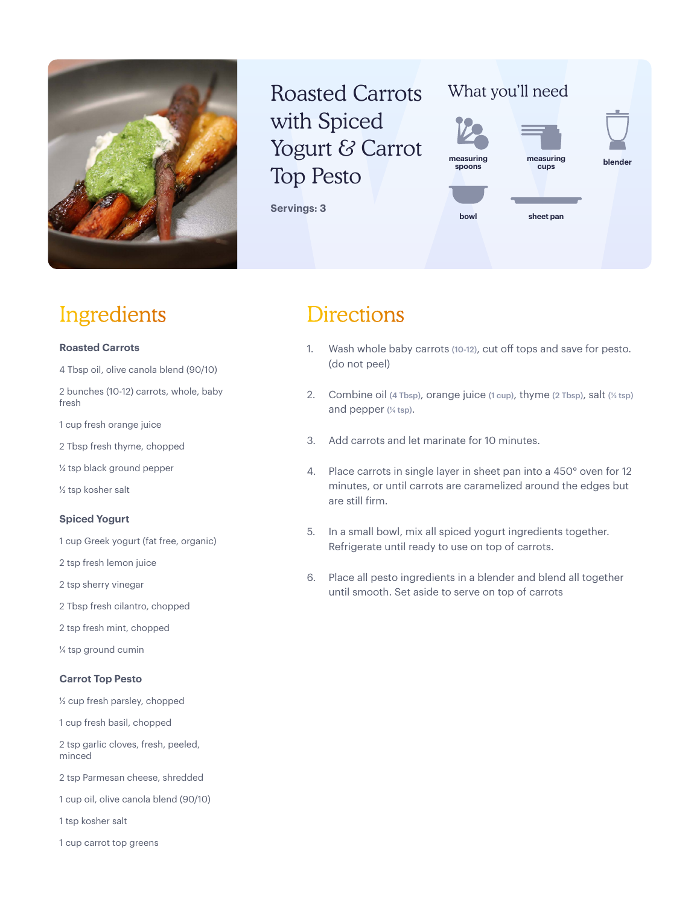

## Roasted Carrots with Spiced Yogurt & Carrot Top Pesto

**Servings: 3**

### What you'll need



### Ingredients

#### **Roasted Carrots**

4 Tbsp oil, olive canola blend (90/10)

2 bunches (10-12) carrots, whole, baby fresh

1 cup fresh orange juice

2 Tbsp fresh thyme, chopped

¼ tsp black ground pepper

½ tsp kosher salt

#### **Spiced Yogurt**

1 cup Greek yogurt (fat free, organic)

2 tsp fresh lemon juice

2 tsp sherry vinegar

2 Tbsp fresh cilantro, chopped

2 tsp fresh mint, chopped

¼ tsp ground cumin

#### **Carrot Top Pesto**

½ cup fresh parsley, chopped

1 cup fresh basil, chopped

2 tsp garlic cloves, fresh, peeled, minced

- 2 tsp Parmesan cheese, shredded
- 1 cup oil, olive canola blend (90/10)

1 tsp kosher salt

1 cup carrot top greens

### **Directions**

- 1. Wash whole baby carrots (10-12), cut off tops and save for pesto. (do not peel)
- 2. Combine oil (4 Tbsp), orange juice (1 cup), thyme (2 Tbsp), salt (½ tsp) and pepper (¼ tsp).
- 3. Add carrots and let marinate for 10 minutes.
- 4. Place carrots in single layer in sheet pan into a 450° oven for 12 minutes, or until carrots are caramelized around the edges but are still firm.
- 5. In a small bowl, mix all spiced yogurt ingredients together. Refrigerate until ready to use on top of carrots.
- 6. Place all pesto ingredients in a blender and blend all together until smooth. Set aside to serve on top of carrots